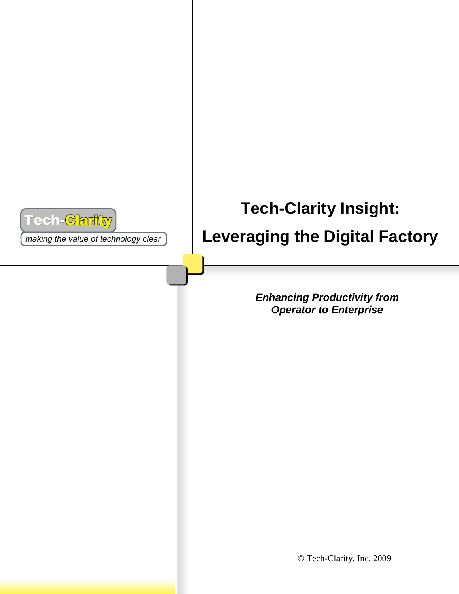

making the value of technology clear

# **Tech-Clarity Insight: Leveraging the Digital Factory**

*Enhancing Productivity from Operator to Enterprise*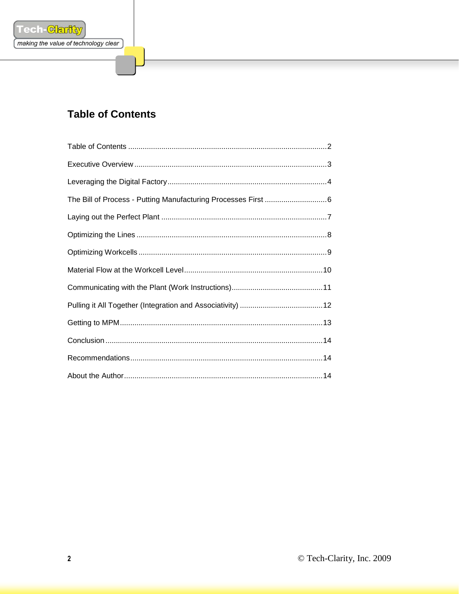

# <span id="page-1-0"></span>**Table of Contents**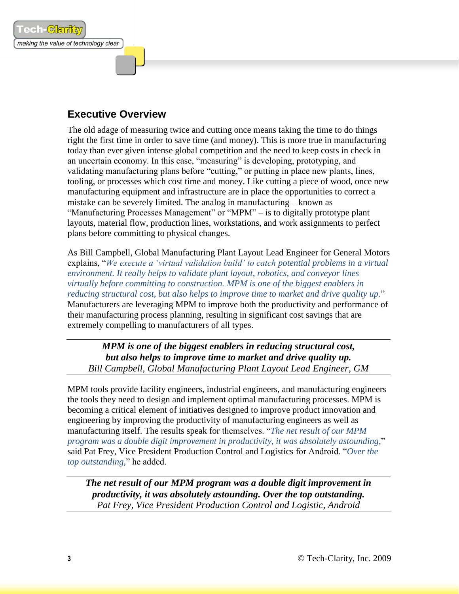## <span id="page-2-0"></span>**Executive Overview**

ech-Garit

making the value of technology clear

The old adage of measuring twice and cutting once means taking the time to do things right the first time in order to save time (and money). This is more true in manufacturing today than ever given intense global competition and the need to keep costs in check in an uncertain economy. In this case, "measuring" is developing, prototyping, and validating manufacturing plans before "cutting," or putting in place new plants, lines, tooling, or processes which cost time and money. Like cutting a piece of wood, once new manufacturing equipment and infrastructure are in place the opportunities to correct a mistake can be severely limited. The analog in manufacturing – known as "Manufacturing Processes Management" or "MPM" – is to digitally prototype plant layouts, material flow, production lines, workstations, and work assignments to perfect plans before committing to physical changes.

As Bill Campbell, Global Manufacturing Plant Layout Lead Engineer for General Motors explains, "*We execute a 'virtual validation build' to catch potential problems in a virtual environment. It really helps to validate plant layout, robotics, and conveyor lines virtually before committing to construction. MPM is one of the biggest enablers in reducing structural cost, but also helps to improve time to market and drive quality up.*" Manufacturers are leveraging MPM to improve both the productivity and performance of their manufacturing process planning, resulting in significant cost savings that are extremely compelling to manufacturers of all types.

*MPM is one of the biggest enablers in reducing structural cost, but also helps to improve time to market and drive quality up. Bill Campbell, Global Manufacturing Plant Layout Lead Engineer, GM*

MPM tools provide facility engineers, industrial engineers, and manufacturing engineers the tools they need to design and implement optimal manufacturing processes. MPM is becoming a critical element of initiatives designed to improve product innovation and engineering by improving the productivity of manufacturing engineers as well as manufacturing itself. The results speak for themselves. "*The net result of our MPM program was a double digit improvement in productivity, it was absolutely astounding,*" said Pat Frey, Vice President Production Control and Logistics for Android. "*Over the top outstanding,*" he added.

*The net result of our MPM program was a double digit improvement in productivity, it was absolutely astounding. Over the top outstanding. Pat Frey, Vice President Production Control and Logistic, Android*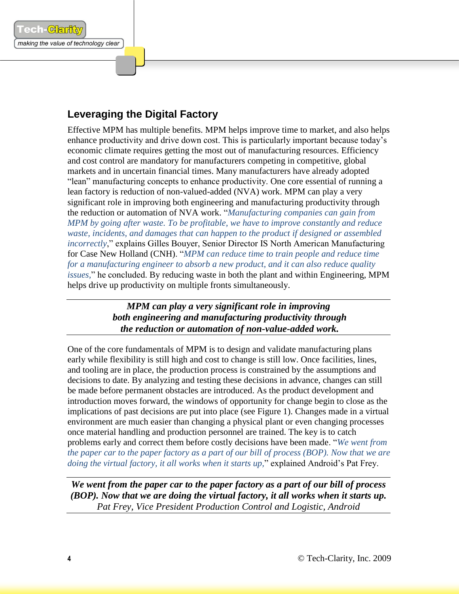# <span id="page-3-0"></span>**Leveraging the Digital Factory**

ech-Garik

making the value of technology clear

Effective MPM has multiple benefits. MPM helps improve time to market, and also helps enhance productivity and drive down cost. This is particularly important because today's economic climate requires getting the most out of manufacturing resources. Efficiency and cost control are mandatory for manufacturers competing in competitive, global markets and in uncertain financial times. Many manufacturers have already adopted "lean" manufacturing concepts to enhance productivity. One core essential of running a lean factory is reduction of non-valued-added (NVA) work. MPM can play a very significant role in improving both engineering and manufacturing productivity through the reduction or automation of NVA work. "*Manufacturing companies can gain from MPM by going after waste. To be profitable, we have to improve constantly and reduce waste, incidents, and damages that can happen to the product if designed or assembled incorrectly*," explains Gilles Bouyer, Senior Director IS North American Manufacturing for Case New Holland (CNH). "*MPM can reduce time to train people and reduce time for a manufacturing engineer to absorb a new product, and it can also reduce quality issues,*" he concluded. By reducing waste in both the plant and within Engineering, MPM helps drive up productivity on multiple fronts simultaneously.

> *MPM can play a very significant role in improving both engineering and manufacturing productivity through the reduction or automation of non-value-added work.*

One of the core fundamentals of MPM is to design and validate manufacturing plans early while flexibility is still high and cost to change is still low. Once facilities, lines, and tooling are in place, the production process is constrained by the assumptions and decisions to date. By analyzing and testing these decisions in advance, changes can still be made before permanent obstacles are introduced. As the product development and introduction moves forward, the windows of opportunity for change begin to close as the implications of past decisions are put into place (see Figure 1). Changes made in a virtual environment are much easier than changing a physical plant or even changing processes once material handling and production personnel are trained. The key is to catch problems early and correct them before costly decisions have been made. "*We went from the paper car to the paper factory as a part of our bill of process (BOP). Now that we are doing the virtual factory, it all works when it starts up,*" explained Android's Pat Frey.

*We went from the paper car to the paper factory as a part of our bill of process (BOP). Now that we are doing the virtual factory, it all works when it starts up. Pat Frey, Vice President Production Control and Logistic, Android*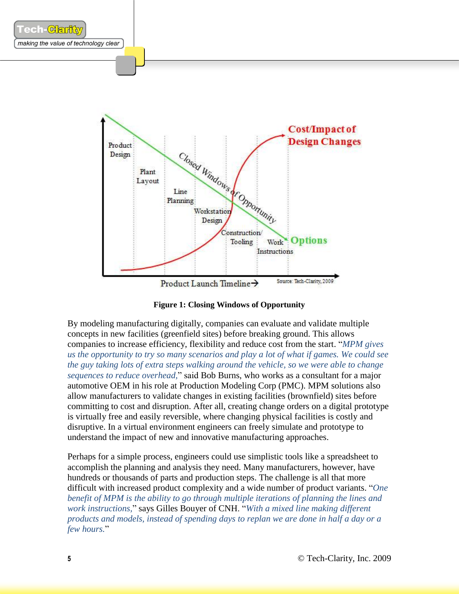

**Figure 1: Closing Windows of Opportunity**

By modeling manufacturing digitally, companies can evaluate and validate multiple concepts in new facilities (greenfield sites) before breaking ground. This allows companies to increase efficiency, flexibility and reduce cost from the start. "*MPM gives us the opportunity to try so many scenarios and play a lot of what if games. We could see the guy taking lots of extra steps walking around the vehicle, so we were able to change sequences to reduce overhead,*" said Bob Burns, who works as a consultant for a major automotive OEM in his role at Production Modeling Corp (PMC). MPM solutions also allow manufacturers to validate changes in existing facilities (brownfield) sites before committing to cost and disruption. After all, creating change orders on a digital prototype is virtually free and easily reversible, where changing physical facilities is costly and disruptive. In a virtual environment engineers can freely simulate and prototype to understand the impact of new and innovative manufacturing approaches.

Perhaps for a simple process, engineers could use simplistic tools like a spreadsheet to accomplish the planning and analysis they need. Many manufacturers, however, have hundreds or thousands of parts and production steps. The challenge is all that more difficult with increased product complexity and a wide number of product variants. "*One benefit of MPM is the ability to go through multiple iterations of planning the lines and work instructions,*" says Gilles Bouyer of CNH. "*With a mixed line making different products and models, instead of spending days to replan we are done in half a day or a few hours.*"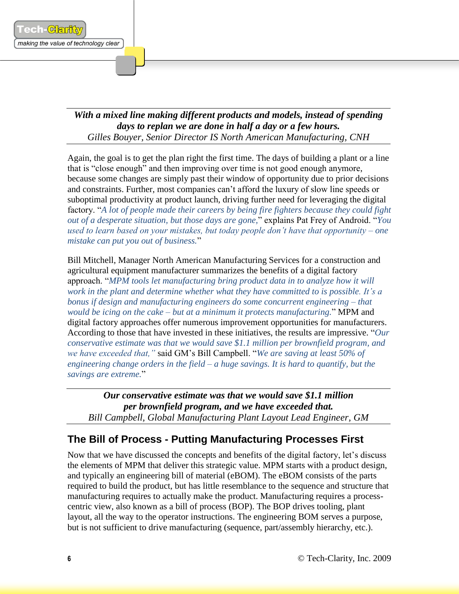

#### *With a mixed line making different products and models, instead of spending days to replan we are done in half a day or a few hours. Gilles Bouyer, Senior Director IS North American Manufacturing, CNH*

Again, the goal is to get the plan right the first time. The days of building a plant or a line that is "close enough" and then improving over time is not good enough anymore, because some changes are simply past their window of opportunity due to prior decisions and constraints. Further, most companies can't afford the luxury of slow line speeds or suboptimal productivity at product launch, driving further need for leveraging the digital factory. "*A lot of people made their careers by being fire fighters because they could fight out of a desperate situation, but those days are gone,*" explains Pat Frey of Android. "*You used to learn based on your mistakes, but today people don't have that opportunity – one mistake can put you out of business.*"

Bill Mitchell, Manager North American Manufacturing Services for a construction and agricultural equipment manufacturer summarizes the benefits of a digital factory approach. "*MPM tools let manufacturing bring product data in to analyze how it will work in the plant and determine whether what they have committed to is possible. It's a bonus if design and manufacturing engineers do some concurrent engineering – that would be icing on the cake – but at a minimum it protects manufacturing.*" MPM and digital factory approaches offer numerous improvement opportunities for manufacturers. According to those that have invested in these initiatives, the results are impressive. "*Our conservative estimate was that we would save \$1.1 million per brownfield program, and we have exceeded that,"* said GM's Bill Campbell. "*We are saving at least 50% of engineering change orders in the field – a huge savings. It is hard to quantify, but the savings are extreme.*"

*Our conservative estimate was that we would save \$1.1 million per brownfield program, and we have exceeded that. Bill Campbell, Global Manufacturing Plant Layout Lead Engineer, GM*

# <span id="page-5-0"></span>**The Bill of Process - Putting Manufacturing Processes First**

Now that we have discussed the concepts and benefits of the digital factory, let's discuss the elements of MPM that deliver this strategic value. MPM starts with a product design, and typically an engineering bill of material (eBOM). The eBOM consists of the parts required to build the product, but has little resemblance to the sequence and structure that manufacturing requires to actually make the product. Manufacturing requires a processcentric view, also known as a bill of process (BOP). The BOP drives tooling, plant layout, all the way to the operator instructions. The engineering BOM serves a purpose, but is not sufficient to drive manufacturing (sequence, part/assembly hierarchy, etc.).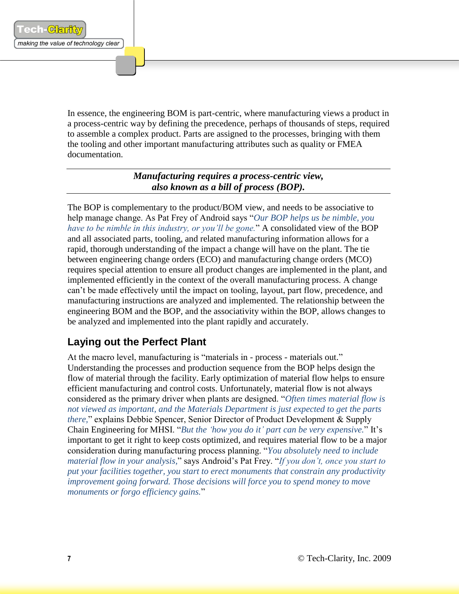In essence, the engineering BOM is part-centric, where manufacturing views a product in a process-centric way by defining the precedence, perhaps of thousands of steps, required to assemble a complex product. Parts are assigned to the processes, bringing with them the tooling and other important manufacturing attributes such as quality or FMEA documentation.

> *Manufacturing requires a process-centric view, also known as a bill of process (BOP).*

The BOP is complementary to the product/BOM view, and needs to be associative to help manage change. As Pat Frey of Android says "*Our BOP helps us be nimble, you have to be nimble in this industry, or you'll be gone.*" A consolidated view of the BOP and all associated parts, tooling, and related manufacturing information allows for a rapid, thorough understanding of the impact a change will have on the plant. The tie between engineering change orders (ECO) and manufacturing change orders (MCO) requires special attention to ensure all product changes are implemented in the plant, and implemented efficiently in the context of the overall manufacturing process. A change can't be made effectively until the impact on tooling, layout, part flow, precedence, and manufacturing instructions are analyzed and implemented. The relationship between the engineering BOM and the BOP, and the associativity within the BOP, allows changes to be analyzed and implemented into the plant rapidly and accurately.

## <span id="page-6-0"></span>**Laying out the Perfect Plant**

At the macro level, manufacturing is "materials in - process - materials out." Understanding the processes and production sequence from the BOP helps design the flow of material through the facility. Early optimization of material flow helps to ensure efficient manufacturing and control costs. Unfortunately, material flow is not always considered as the primary driver when plants are designed. "*Often times material flow is not viewed as important, and the Materials Department is just expected to get the parts there,*" explains Debbie Spencer, Senior Director of Product Development & Supply Chain Engineering for MHSI. "*But the 'how you do it' part can be very expensive.*" It's important to get it right to keep costs optimized, and requires material flow to be a major consideration during manufacturing process planning. "*You absolutely need to include material flow in your analysis,*" says Android's Pat Frey. "*If you don't, once you start to put your facilities together, you start to erect monuments that constrain any productivity improvement going forward. Those decisions will force you to spend money to move monuments or forgo efficiency gains.*"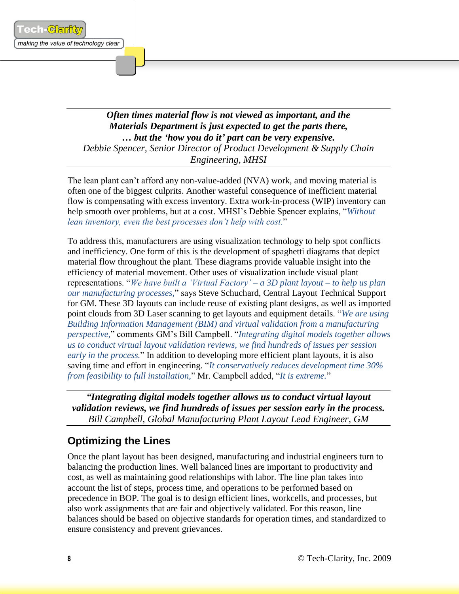ech-<mark>ଖିମ</mark>ାମି

#### *Often times material flow is not viewed as important, and the Materials Department is just expected to get the parts there, … but the 'how you do it' part can be very expensive. Debbie Spencer, Senior Director of Product Development & Supply Chain Engineering, MHSI*

The lean plant can't afford any non-value-added (NVA) work, and moving material is often one of the biggest culprits. Another wasteful consequence of inefficient material flow is compensating with excess inventory. Extra work-in-process (WIP) inventory can help smooth over problems, but at a cost. MHSI's Debbie Spencer explains, "*Without lean inventory, even the best processes don't help with cost.*"

To address this, manufacturers are using visualization technology to help spot conflicts and inefficiency. One form of this is the development of spaghetti diagrams that depict material flow throughout the plant. These diagrams provide valuable insight into the efficiency of material movement. Other uses of visualization include visual plant representations. "*We have built a 'Virtual Factory' – a 3D plant layout – to help us plan our manufacturing processes,*" says Steve Schuchard, Central Layout Technical Support for GM. These 3D layouts can include reuse of existing plant designs, as well as imported point clouds from 3D Laser scanning to get layouts and equipment details. "*We are using Building Information Management (BIM) and virtual validation from a manufacturing perspective,*" comments GM's Bill Campbell. "*Integrating digital models together allows us to conduct virtual layout validation reviews, we find hundreds of issues per session early in the process.*" In addition to developing more efficient plant layouts, it is also saving time and effort in engineering. "*It conservatively reduces development time 30% from feasibility to full installation,*" Mr. Campbell added, "*It is extreme.*"

*"Integrating digital models together allows us to conduct virtual layout validation reviews, we find hundreds of issues per session early in the process. Bill Campbell, Global Manufacturing Plant Layout Lead Engineer, GM*

# <span id="page-7-0"></span>**Optimizing the Lines**

Once the plant layout has been designed, manufacturing and industrial engineers turn to balancing the production lines. Well balanced lines are important to productivity and cost, as well as maintaining good relationships with labor. The line plan takes into account the list of steps, process time, and operations to be performed based on precedence in BOP. The goal is to design efficient lines, workcells, and processes, but also work assignments that are fair and objectively validated. For this reason, line balances should be based on objective standards for operation times, and standardized to ensure consistency and prevent grievances.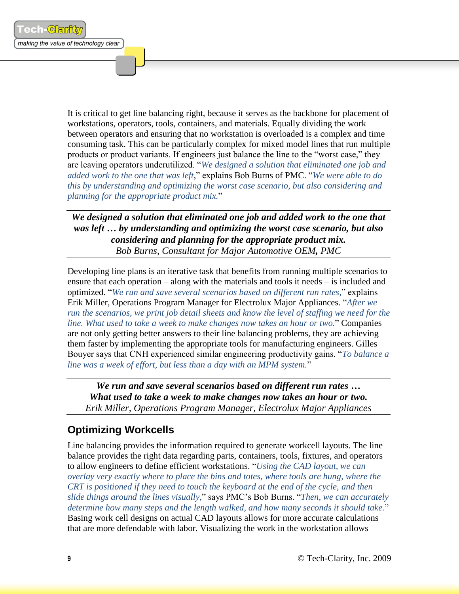It is critical to get line balancing right, because it serves as the backbone for placement of workstations, operators, tools, containers, and materials. Equally dividing the work between operators and ensuring that no workstation is overloaded is a complex and time consuming task. This can be particularly complex for mixed model lines that run multiple products or product variants. If engineers just balance the line to the "worst case," they are leaving operators underutilized. "*We designed a solution that eliminated one job and added work to the one that was left*," explains Bob Burns of PMC. "*We were able to do this by understanding and optimizing the worst case scenario, but also considering and planning for the appropriate product mix.*"

*We designed a solution that eliminated one job and added work to the one that was left … by understanding and optimizing the worst case scenario, but also considering and planning for the appropriate product mix. Bob Burns, Consultant for Major Automotive OEM, PMC*

Developing line plans is an iterative task that benefits from running multiple scenarios to ensure that each operation – along with the materials and tools it needs – is included and optimized. "*We run and save several scenarios based on different run rates,*" explains Erik Miller, Operations Program Manager for Electrolux Major Appliances. "*After we run the scenarios, we print job detail sheets and know the level of staffing we need for the line. What used to take a week to make changes now takes an hour or two.*" Companies are not only getting better answers to their line balancing problems, they are achieving them faster by implementing the appropriate tools for manufacturing engineers. Gilles Bouyer says that CNH experienced similar engineering productivity gains. "*To balance a line was a week of effort, but less than a day with an MPM system.*"

*We run and save several scenarios based on different run rates … What used to take a week to make changes now takes an hour or two. Erik Miller, Operations Program Manager, Electrolux Major Appliances*

## <span id="page-8-0"></span>**Optimizing Workcells**

Line balancing provides the information required to generate workcell layouts. The line balance provides the right data regarding parts, containers, tools, fixtures, and operators to allow engineers to define efficient workstations. "*Using the CAD layout, we can overlay very exactly where to place the bins and totes, where tools are hung, where the CRT is positioned if they need to touch the keyboard at the end of the cycle, and then slide things around the lines visually,*" says PMC's Bob Burns. "*Then, we can accurately determine how many steps and the length walked, and how many seconds it should take.*" Basing work cell designs on actual CAD layouts allows for more accurate calculations that are more defendable with labor. Visualizing the work in the workstation allows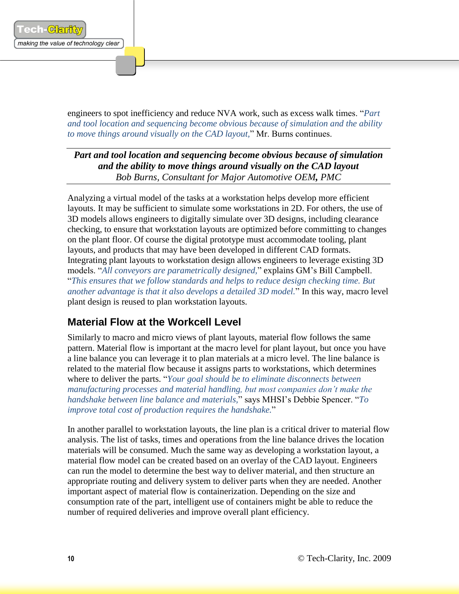engineers to spot inefficiency and reduce NVA work, such as excess walk times. "*Part and tool location and sequencing become obvious because of simulation and the ability to move things around visually on the CAD layout,*" Mr. Burns continues.

*Part and tool location and sequencing become obvious because of simulation and the ability to move things around visually on the CAD layout Bob Burns, Consultant for Major Automotive OEM, PMC*

Analyzing a virtual model of the tasks at a workstation helps develop more efficient layouts. It may be sufficient to simulate some workstations in 2D. For others, the use of 3D models allows engineers to digitally simulate over 3D designs, including clearance checking, to ensure that workstation layouts are optimized before committing to changes on the plant floor. Of course the digital prototype must accommodate tooling, plant layouts, and products that may have been developed in different CAD formats. Integrating plant layouts to workstation design allows engineers to leverage existing 3D models. "*All conveyors are parametrically designed,*" explains GM's Bill Campbell. "*This ensures that we follow standards and helps to reduce design checking time. But another advantage is that it also develops a detailed 3D model.*" In this way, macro level plant design is reused to plan workstation layouts.

## <span id="page-9-0"></span>**Material Flow at the Workcell Level**

Similarly to macro and micro views of plant layouts, material flow follows the same pattern. Material flow is important at the macro level for plant layout, but once you have a line balance you can leverage it to plan materials at a micro level. The line balance is related to the material flow because it assigns parts to workstations, which determines where to deliver the parts. "*Your goal should be to eliminate disconnects between manufacturing processes and material handling, but most companies don't make the handshake between line balance and materials,*" says MHSI's Debbie Spencer. "*To improve total cost of production requires the handshake.*"

In another parallel to workstation layouts, the line plan is a critical driver to material flow analysis. The list of tasks, times and operations from the line balance drives the location materials will be consumed. Much the same way as developing a workstation layout, a material flow model can be created based on an overlay of the CAD layout. Engineers can run the model to determine the best way to deliver material, and then structure an appropriate routing and delivery system to deliver parts when they are needed. Another important aspect of material flow is containerization. Depending on the size and consumption rate of the part, intelligent use of containers might be able to reduce the number of required deliveries and improve overall plant efficiency.

ech-Garik

making the value of technology clear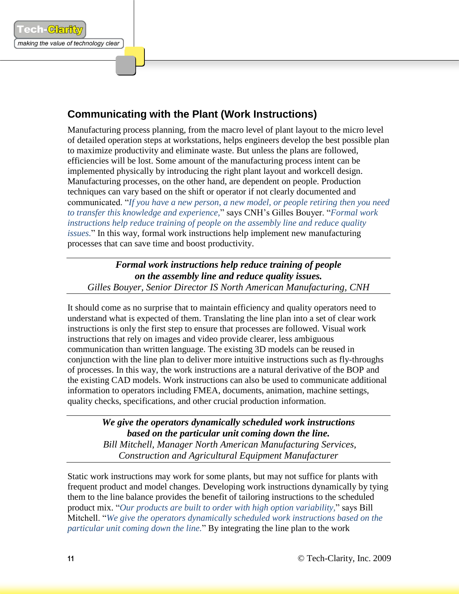# <span id="page-10-0"></span>**Communicating with the Plant (Work Instructions)**

Manufacturing process planning, from the macro level of plant layout to the micro level of detailed operation steps at workstations, helps engineers develop the best possible plan to maximize productivity and eliminate waste. But unless the plans are followed, efficiencies will be lost. Some amount of the manufacturing process intent can be implemented physically by introducing the right plant layout and workcell design. Manufacturing processes, on the other hand, are dependent on people. Production techniques can vary based on the shift or operator if not clearly documented and communicated. "*If you have a new person, a new model, or people retiring then you need to transfer this knowledge and experience,*" says CNH's Gilles Bouyer. "*Formal work instructions help reduce training of people on the assembly line and reduce quality issues.*" In this way, formal work instructions help implement new manufacturing processes that can save time and boost productivity.

*Formal work instructions help reduce training of people on the assembly line and reduce quality issues. Gilles Bouyer, Senior Director IS North American Manufacturing, CNH*

It should come as no surprise that to maintain efficiency and quality operators need to understand what is expected of them. Translating the line plan into a set of clear work instructions is only the first step to ensure that processes are followed. Visual work instructions that rely on images and video provide clearer, less ambiguous communication than written language. The existing 3D models can be reused in conjunction with the line plan to deliver more intuitive instructions such as fly-throughs of processes. In this way, the work instructions are a natural derivative of the BOP and the existing CAD models. Work instructions can also be used to communicate additional information to operators including FMEA, documents, animation, machine settings, quality checks, specifications, and other crucial production information.

> *We give the operators dynamically scheduled work instructions based on the particular unit coming down the line. Bill Mitchell, Manager North American Manufacturing Services, Construction and Agricultural Equipment Manufacturer*

Static work instructions may work for some plants, but may not suffice for plants with frequent product and model changes. Developing work instructions dynamically by tying them to the line balance provides the benefit of tailoring instructions to the scheduled product mix. "*Our products are built to order with high option variability,*" says Bill Mitchell. "*We give the operators dynamically scheduled work instructions based on the particular unit coming down the line.*" By integrating the line plan to the work

ech-Garik

making the value of technology clear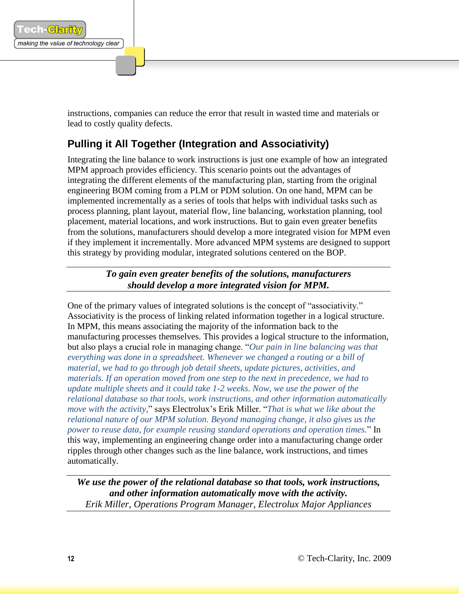

instructions, companies can reduce the error that result in wasted time and materials or lead to costly quality defects.

# <span id="page-11-0"></span>**Pulling it All Together (Integration and Associativity)**

Integrating the line balance to work instructions is just one example of how an integrated MPM approach provides efficiency. This scenario points out the advantages of integrating the different elements of the manufacturing plan, starting from the original engineering BOM coming from a PLM or PDM solution. On one hand, MPM can be implemented incrementally as a series of tools that helps with individual tasks such as process planning, plant layout, material flow, line balancing, workstation planning, tool placement, material locations, and work instructions. But to gain even greater benefits from the solutions, manufacturers should develop a more integrated vision for MPM even if they implement it incrementally. More advanced MPM systems are designed to support this strategy by providing modular, integrated solutions centered on the BOP.

> *To gain even greater benefits of the solutions, manufacturers should develop a more integrated vision for MPM.*

One of the primary values of integrated solutions is the concept of "associativity." Associativity is the process of linking related information together in a logical structure. In MPM, this means associating the majority of the information back to the manufacturing processes themselves. This provides a logical structure to the information, but also plays a crucial role in managing change. "*Our pain in line balancing was that everything was done in a spreadsheet. Whenever we changed a routing or a bill of material, we had to go through job detail sheets, update pictures, activities, and materials. If an operation moved from one step to the next in precedence, we had to update multiple sheets and it could take 1-2 weeks. Now, we use the power of the relational database so that tools, work instructions, and other information automatically move with the activity,*" says Electrolux's Erik Miller. "*That is what we like about the relational nature of our MPM solution. Beyond managing change, it also gives us the power to reuse data, for example reusing standard operations and operation times.*" In this way, implementing an engineering change order into a manufacturing change order ripples through other changes such as the line balance, work instructions, and times automatically.

*We use the power of the relational database so that tools, work instructions, and other information automatically move with the activity. Erik Miller, Operations Program Manager, Electrolux Major Appliances*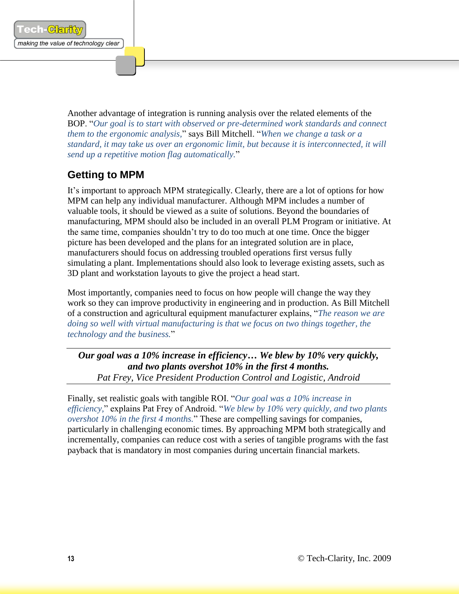

Another advantage of integration is running analysis over the related elements of the BOP. "*Our goal is to start with observed or pre-determined work standards and connect them to the ergonomic analysis,*" says Bill Mitchell. "*When we change a task or a standard, it may take us over an ergonomic limit, but because it is interconnected, it will send up a repetitive motion flag automatically.*"

## <span id="page-12-0"></span>**Getting to MPM**

It's important to approach MPM strategically. Clearly, there are a lot of options for how MPM can help any individual manufacturer. Although MPM includes a number of valuable tools, it should be viewed as a suite of solutions. Beyond the boundaries of manufacturing, MPM should also be included in an overall PLM Program or initiative. At the same time, companies shouldn't try to do too much at one time. Once the bigger picture has been developed and the plans for an integrated solution are in place, manufacturers should focus on addressing troubled operations first versus fully simulating a plant. Implementations should also look to leverage existing assets, such as 3D plant and workstation layouts to give the project a head start.

Most importantly, companies need to focus on how people will change the way they work so they can improve productivity in engineering and in production. As Bill Mitchell of a construction and agricultural equipment manufacturer explains, "*The reason we are doing so well with virtual manufacturing is that we focus on two things together, the technology and the business.*"

*Our goal was a 10% increase in efficiency… We blew by 10% very quickly, and two plants overshot 10% in the first 4 months. Pat Frey, Vice President Production Control and Logistic, Android*

Finally, set realistic goals with tangible ROI. "*Our goal was a 10% increase in efficiency,*" explains Pat Frey of Android. "*We blew by 10% very quickly, and two plants overshot 10% in the first 4 months.*" These are compelling savings for companies, particularly in challenging economic times. By approaching MPM both strategically and incrementally, companies can reduce cost with a series of tangible programs with the fast payback that is mandatory in most companies during uncertain financial markets.